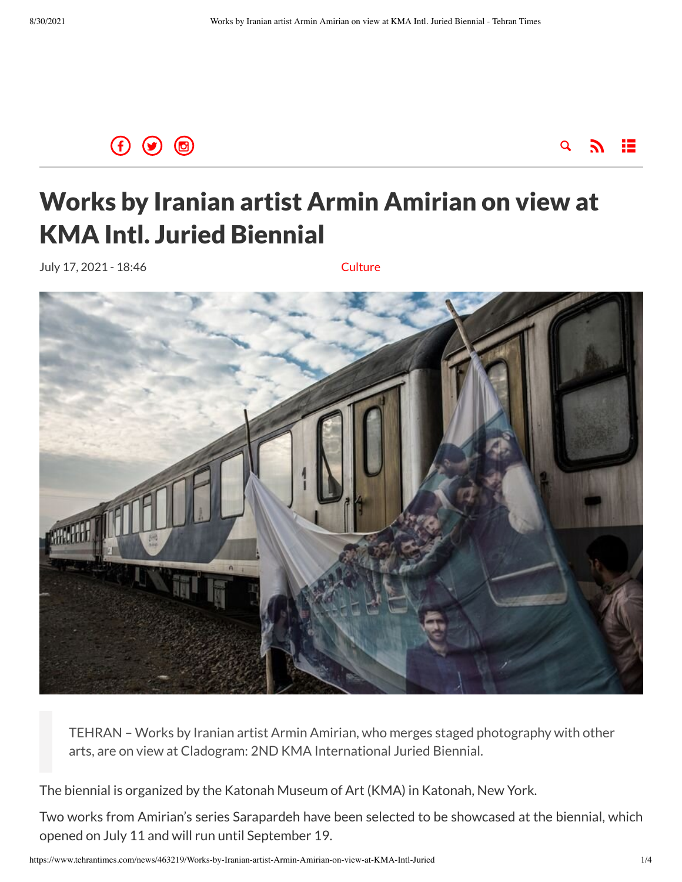



## Works by Iranian artist Armin Amirian on view at KMA Intl. Juried Biennial

July 17, 2021 - 18:46 [Culture](https://www.tehrantimes.com/service/culture)



TEHRAN – Works by Iranian artist Armin Amirian, who merges staged photography with other arts, are on view at Cladogram: 2ND KMA International Juried Biennial.

The biennial is organized by the Katonah Museum of Art (KMA) in Katonah, New York.

Two works from Amirian's series Sarapardeh have been selected to be showcased at the biennial, which opened on July 11 and will run until September 19.